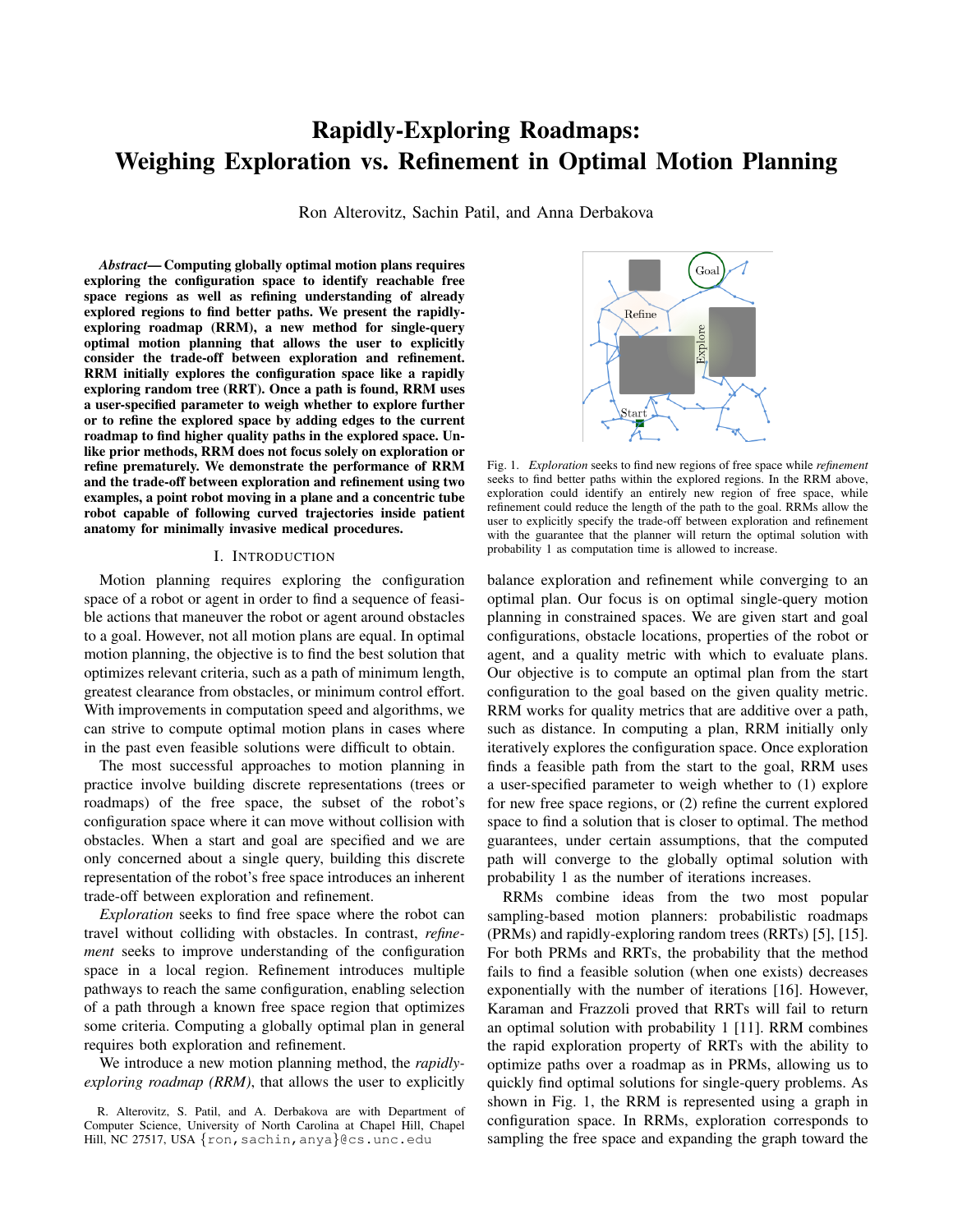# Rapidly-Exploring Roadmaps: Weighing Exploration vs. Refinement in Optimal Motion Planning

Ron Alterovitz, Sachin Patil, and Anna Derbakova

*Abstract*— Computing globally optimal motion plans requires exploring the configuration space to identify reachable free space regions as well as refining understanding of already explored regions to find better paths. We present the rapidlyexploring roadmap (RRM), a new method for single-query optimal motion planning that allows the user to explicitly consider the trade-off between exploration and refinement. RRM initially explores the configuration space like a rapidly exploring random tree (RRT). Once a path is found, RRM uses a user-specified parameter to weigh whether to explore further or to refine the explored space by adding edges to the current roadmap to find higher quality paths in the explored space. Unlike prior methods, RRM does not focus solely on exploration or refine prematurely. We demonstrate the performance of RRM and the trade-off between exploration and refinement using two examples, a point robot moving in a plane and a concentric tube robot capable of following curved trajectories inside patient anatomy for minimally invasive medical procedures.

#### I. INTRODUCTION

Motion planning requires exploring the configuration space of a robot or agent in order to find a sequence of feasible actions that maneuver the robot or agent around obstacles to a goal. However, not all motion plans are equal. In optimal motion planning, the objective is to find the best solution that optimizes relevant criteria, such as a path of minimum length, greatest clearance from obstacles, or minimum control effort. With improvements in computation speed and algorithms, we can strive to compute optimal motion plans in cases where in the past even feasible solutions were difficult to obtain.

The most successful approaches to motion planning in practice involve building discrete representations (trees or roadmaps) of the free space, the subset of the robot's configuration space where it can move without collision with obstacles. When a start and goal are specified and we are only concerned about a single query, building this discrete representation of the robot's free space introduces an inherent trade-off between exploration and refinement.

*Exploration* seeks to find free space where the robot can travel without colliding with obstacles. In contrast, *refinement* seeks to improve understanding of the configuration space in a local region. Refinement introduces multiple pathways to reach the same configuration, enabling selection of a path through a known free space region that optimizes some criteria. Computing a globally optimal plan in general requires both exploration and refinement.

We introduce a new motion planning method, the *rapidlyexploring roadmap (RRM)*, that allows the user to explicitly



Fig. 1. *Exploration* seeks to find new regions of free space while *refinement* seeks to find better paths within the explored regions. In the RRM above, exploration could identify an entirely new region of free space, while refinement could reduce the length of the path to the goal. RRMs allow the user to explicitly specify the trade-off between exploration and refinement with the guarantee that the planner will return the optimal solution with probability 1 as computation time is allowed to increase.

balance exploration and refinement while converging to an optimal plan. Our focus is on optimal single-query motion planning in constrained spaces. We are given start and goal configurations, obstacle locations, properties of the robot or agent, and a quality metric with which to evaluate plans. Our objective is to compute an optimal plan from the start configuration to the goal based on the given quality metric. RRM works for quality metrics that are additive over a path, such as distance. In computing a plan, RRM initially only iteratively explores the configuration space. Once exploration finds a feasible path from the start to the goal, RRM uses a user-specified parameter to weigh whether to (1) explore for new free space regions, or (2) refine the current explored space to find a solution that is closer to optimal. The method guarantees, under certain assumptions, that the computed path will converge to the globally optimal solution with probability 1 as the number of iterations increases.

RRMs combine ideas from the two most popular sampling-based motion planners: probabilistic roadmaps (PRMs) and rapidly-exploring random trees (RRTs) [5], [15]. For both PRMs and RRTs, the probability that the method fails to find a feasible solution (when one exists) decreases exponentially with the number of iterations [16]. However, Karaman and Frazzoli proved that RRTs will fail to return an optimal solution with probability 1 [11]. RRM combines the rapid exploration property of RRTs with the ability to optimize paths over a roadmap as in PRMs, allowing us to quickly find optimal solutions for single-query problems. As shown in Fig. 1, the RRM is represented using a graph in configuration space. In RRMs, exploration corresponds to sampling the free space and expanding the graph toward the

R. Alterovitz, S. Patil, and A. Derbakova are with Department of Computer Science, University of North Carolina at Chapel Hill, Chapel Hill, NC 27517, USA {ron, sachin, anya}@cs.unc.edu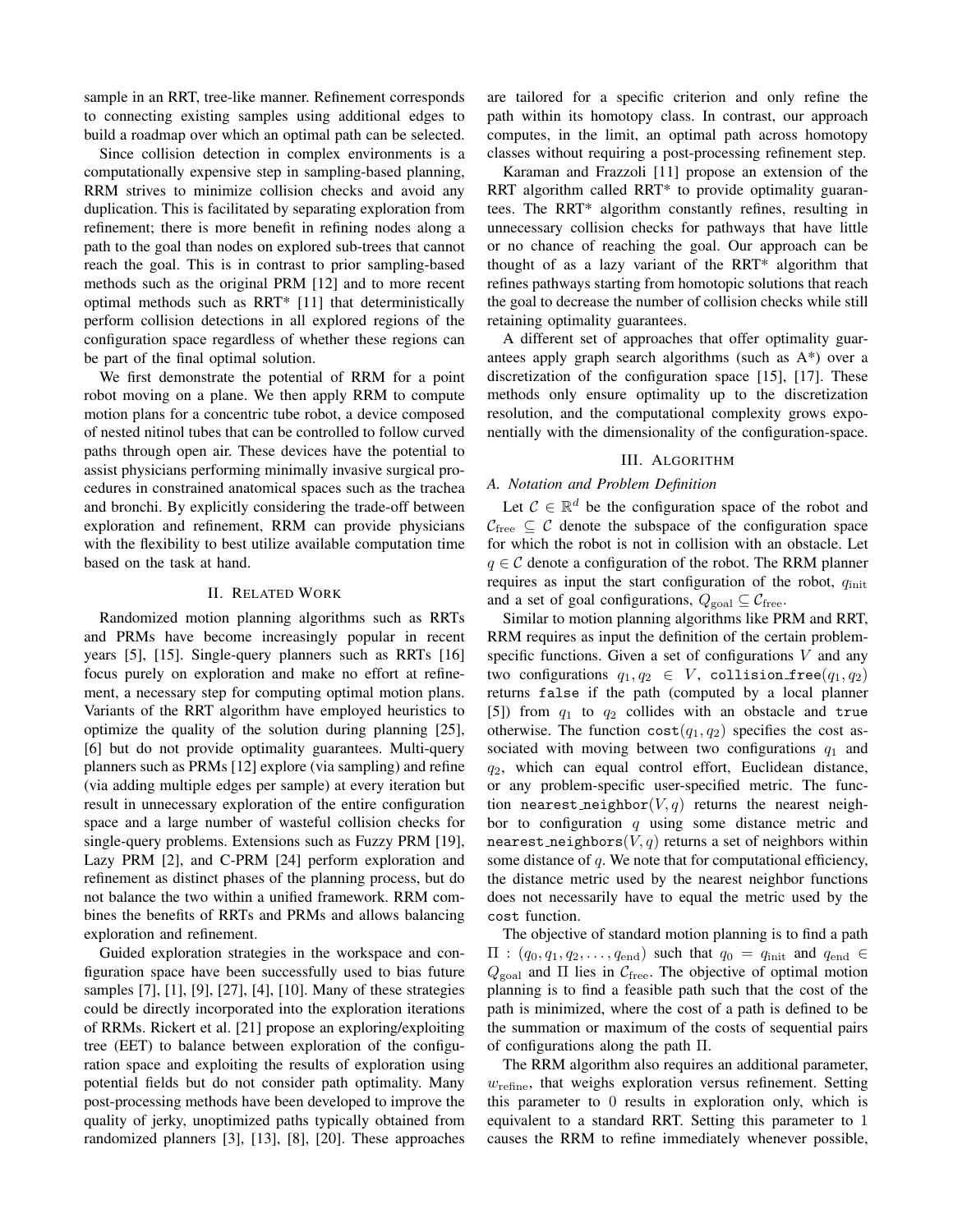sample in an RRT, tree-like manner. Refinement corresponds to connecting existing samples using additional edges to build a roadmap over which an optimal path can be selected.

Since collision detection in complex environments is a computationally expensive step in sampling-based planning, RRM strives to minimize collision checks and avoid any duplication. This is facilitated by separating exploration from refinement; there is more benefit in refining nodes along a path to the goal than nodes on explored sub-trees that cannot reach the goal. This is in contrast to prior sampling-based methods such as the original PRM [12] and to more recent optimal methods such as RRT\* [11] that deterministically perform collision detections in all explored regions of the configuration space regardless of whether these regions can be part of the final optimal solution.

We first demonstrate the potential of RRM for a point robot moving on a plane. We then apply RRM to compute motion plans for a concentric tube robot, a device composed of nested nitinol tubes that can be controlled to follow curved paths through open air. These devices have the potential to assist physicians performing minimally invasive surgical procedures in constrained anatomical spaces such as the trachea and bronchi. By explicitly considering the trade-off between exploration and refinement, RRM can provide physicians with the flexibility to best utilize available computation time based on the task at hand.

## II. RELATED WORK

Randomized motion planning algorithms such as RRTs and PRMs have become increasingly popular in recent years [5], [15]. Single-query planners such as RRTs [16] focus purely on exploration and make no effort at refinement, a necessary step for computing optimal motion plans. Variants of the RRT algorithm have employed heuristics to optimize the quality of the solution during planning [25], [6] but do not provide optimality guarantees. Multi-query planners such as PRMs [12] explore (via sampling) and refine (via adding multiple edges per sample) at every iteration but result in unnecessary exploration of the entire configuration space and a large number of wasteful collision checks for single-query problems. Extensions such as Fuzzy PRM [19], Lazy PRM [2], and C-PRM [24] perform exploration and refinement as distinct phases of the planning process, but do not balance the two within a unified framework. RRM combines the benefits of RRTs and PRMs and allows balancing exploration and refinement.

Guided exploration strategies in the workspace and configuration space have been successfully used to bias future samples [7], [1], [9], [27], [4], [10]. Many of these strategies could be directly incorporated into the exploration iterations of RRMs. Rickert et al. [21] propose an exploring/exploiting tree (EET) to balance between exploration of the configuration space and exploiting the results of exploration using potential fields but do not consider path optimality. Many post-processing methods have been developed to improve the quality of jerky, unoptimized paths typically obtained from randomized planners [3], [13], [8], [20]. These approaches are tailored for a specific criterion and only refine the path within its homotopy class. In contrast, our approach computes, in the limit, an optimal path across homotopy classes without requiring a post-processing refinement step.

Karaman and Frazzoli [11] propose an extension of the RRT algorithm called RRT\* to provide optimality guarantees. The RRT\* algorithm constantly refines, resulting in unnecessary collision checks for pathways that have little or no chance of reaching the goal. Our approach can be thought of as a lazy variant of the RRT\* algorithm that refines pathways starting from homotopic solutions that reach the goal to decrease the number of collision checks while still retaining optimality guarantees.

A different set of approaches that offer optimality guarantees apply graph search algorithms (such as A\*) over a discretization of the configuration space [15], [17]. These methods only ensure optimality up to the discretization resolution, and the computational complexity grows exponentially with the dimensionality of the configuration-space.

#### III. ALGORITHM

# *A. Notation and Problem Definition*

Let  $C \in \mathbb{R}^d$  be the configuration space of the robot and  $\mathcal{C}_{\text{free}} \subseteq \mathcal{C}$  denote the subspace of the configuration space for which the robot is not in collision with an obstacle. Let  $q \in \mathcal{C}$  denote a configuration of the robot. The RRM planner requires as input the start configuration of the robot,  $q_{\text{init}}$ and a set of goal configurations,  $Q_{\text{goal}} \subseteq C_{\text{free}}$ .

Similar to motion planning algorithms like PRM and RRT, RRM requires as input the definition of the certain problemspecific functions. Given a set of configurations  $V$  and any two configurations  $q_1, q_2 \in V$ , collision free $(q_1, q_2)$ returns false if the path (computed by a local planner [5]) from  $q_1$  to  $q_2$  collides with an obstacle and true otherwise. The function  $cost(q_1, q_2)$  specifies the cost associated with moving between two configurations  $q_1$  and  $q_2$ , which can equal control effort, Euclidean distance, or any problem-specific user-specified metric. The function nearest neighbor $(V, q)$  returns the nearest neighbor to configuration  $q$  using some distance metric and nearest neighbors $(V, q)$  returns a set of neighbors within some distance of  $q$ . We note that for computational efficiency, the distance metric used by the nearest neighbor functions does not necessarily have to equal the metric used by the cost function.

The objective of standard motion planning is to find a path  $\Pi$  :  $(q_0, q_1, q_2, \ldots, q_{end})$  such that  $q_0 = q_{init}$  and  $q_{end} \in$  $Q_{\text{goal}}$  and  $\Pi$  lies in  $C_{\text{free}}$ . The objective of optimal motion planning is to find a feasible path such that the cost of the path is minimized, where the cost of a path is defined to be the summation or maximum of the costs of sequential pairs of configurations along the path Π.

The RRM algorithm also requires an additional parameter,  $w_{\text{refine}}$ , that weighs exploration versus refinement. Setting this parameter to 0 results in exploration only, which is equivalent to a standard RRT. Setting this parameter to 1 causes the RRM to refine immediately whenever possible,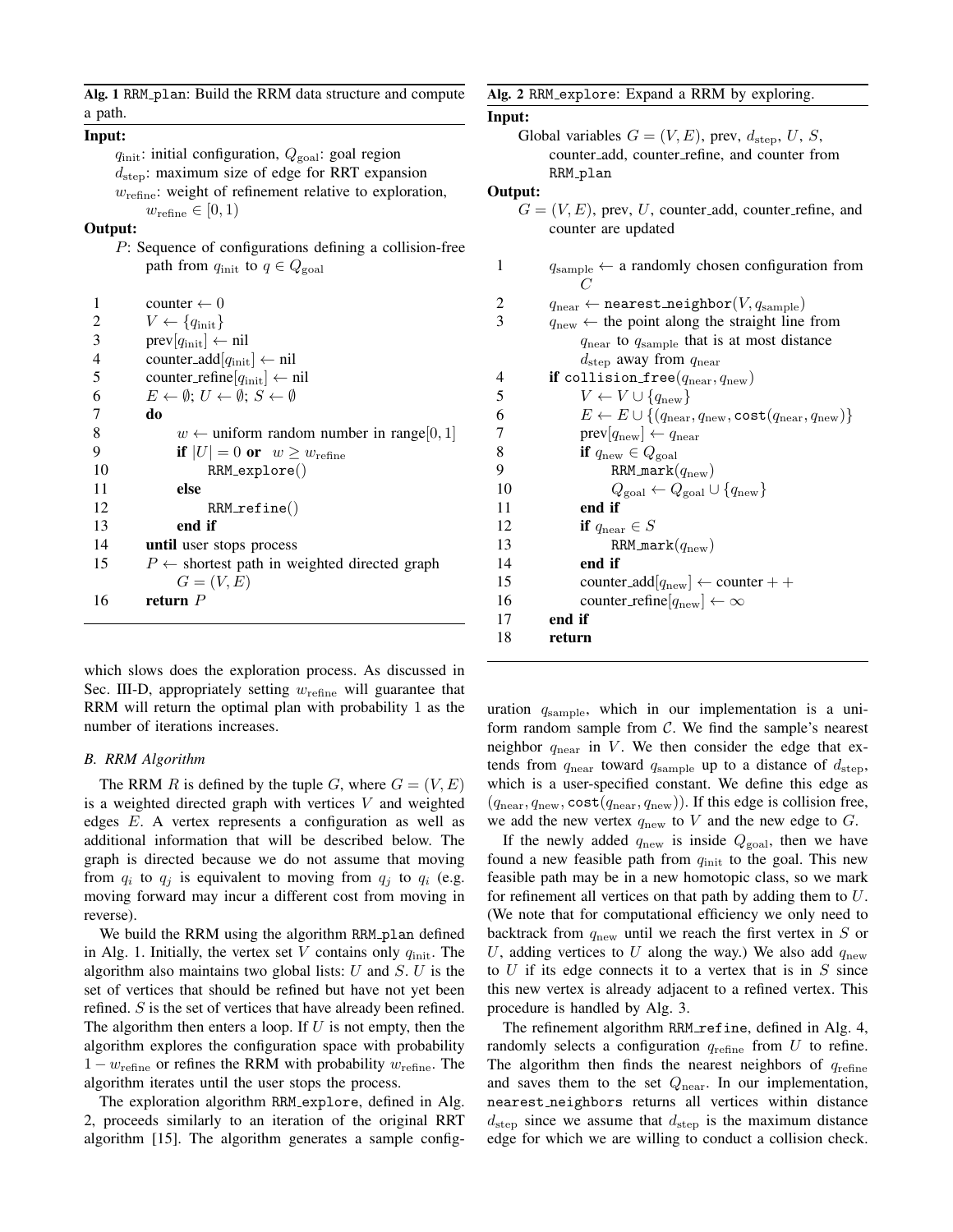Alg. 1 RRM plan: Build the RRM data structure and compute a path.

### Input:

 $q_{\text{init}}$ : initial configuration,  $Q_{\text{goal}}$ : goal region  $d_{\text{sten}}$ : maximum size of edge for RRT expansion  $w_{\text{refine}}$ : weight of refinement relative to exploration,  $w_{\text{refine}} \in [0, 1)$ 

## Output:

P: Sequence of configurations defining a collision-free path from  $q_{\text{init}}$  to  $q \in Q_{\text{goal}}$ 

| 1  | counter $\leftarrow 0$                                                   |
|----|--------------------------------------------------------------------------|
| 2  | $V \leftarrow \{q_{\text{init}}\}$                                       |
| 3  | $prev[q_{init}] \leftarrow nil$                                          |
| 4  | counter_add[ $q_{\text{init}}$ ] $\leftarrow$ nil                        |
| 5  | counter_refine[ $q_{\text{init}}$ ] $\leftarrow$ nil                     |
| 6  | $E \leftarrow \emptyset: U \leftarrow \emptyset: S \leftarrow \emptyset$ |
| 7  | do                                                                       |
| 8  | $w \leftarrow$ uniform random number in range[0, 1]                      |
| 9  | if $ U  = 0$ or $w \geq w_{\text{refine}}$                               |
| 10 | RRM_explore()                                                            |
| 11 | else                                                                     |
| 12 | $RRM_refine()$                                                           |
| 13 | end if                                                                   |
| 14 | <b>until</b> user stops process                                          |
| 15 | $P \leftarrow$ shortest path in weighted directed graph                  |
|    | $G=(V,E)$                                                                |
| 16 | return $P$                                                               |
|    |                                                                          |

which slows does the exploration process. As discussed in Sec. III-D, appropriately setting  $w_{\text{refine}}$  will guarantee that RRM will return the optimal plan with probability 1 as the number of iterations increases.

#### *B. RRM Algorithm*

The RRM R is defined by the tuple G, where  $G = (V, E)$ is a weighted directed graph with vertices  $V$  and weighted edges E. A vertex represents a configuration as well as additional information that will be described below. The graph is directed because we do not assume that moving from  $q_i$  to  $q_j$  is equivalent to moving from  $q_j$  to  $q_i$  (e.g. moving forward may incur a different cost from moving in reverse).

We build the RRM using the algorithm RRM plan defined in Alg. 1. Initially, the vertex set V contains only  $q_{\text{init}}$ . The algorithm also maintains two global lists:  $U$  and  $S$ .  $U$  is the set of vertices that should be refined but have not yet been refined. S is the set of vertices that have already been refined. The algorithm then enters a loop. If  $U$  is not empty, then the algorithm explores the configuration space with probability  $1 - w_{\text{refine}}$  or refines the RRM with probability  $w_{\text{refine}}$ . The algorithm iterates until the user stops the process.

The exploration algorithm RRM explore, defined in Alg. 2, proceeds similarly to an iteration of the original RRT algorithm [15]. The algorithm generates a sample config-

#### Alg. 2 RRM explore: Expand a RRM by exploring.

#### Input:

Global variables  $G = (V, E)$ , prev,  $d_{\text{step}}$ ,  $U$ ,  $S$ , counter add, counter refine, and counter from RRM\_plan Output:  $G = (V, E)$ , prev, U, counter add, counter refine, and counter are updated 1  $q_{\text{sample}} \leftarrow$  a randomly chosen configuration from  $\mathcal{C}_{0}^{(n)}$ 2  $q_{\text{near}} \leftarrow \texttt{nearest\_neighbor}(V, q_{\text{sample}})$ 3  $q_{\text{new}} \leftarrow$  the point along the straight line from  $q_{\text{near}}$  to  $q_{\text{sample}}$  that is at most distance  $d_{\text{step}}$  away from  $q_{\text{near}}$ 4 if collision free( $q_{\text{near}}, q_{\text{new}}$ ) 5  $V \leftarrow V \cup \{q_{\text{new}}\}$ 6  $E \leftarrow E \cup \{(q_{\text{near}}, q_{\text{new}}, \text{cost}(q_{\text{near}}, q_{\text{new}})\}\$ 7 prev $[q_{\text{new}}] \leftarrow q_{\text{near}}$ 8 **if**  $q_{\text{new}} \in Q_{\text{goal}}$ 9 RRM mark $(q_{\text{new}})$ 10  $Q_{\rm goal} \leftarrow Q_{\rm goal} \cup \{q_{\rm new}\}$ 11 end if 12 if  $q_{\text{near}} \in S$ 13 RRM mark $(q_{\text{new}})$ 14 end if 15 counter\_add[ $q_{\text{new}}$ ]  $\leftarrow$  counter + + 16 counter\_refine $[q_{\text{new}}] \leftarrow \infty$ 17 end if 18 return

uration  $q_{\text{sample}}$ , which in our implementation is a uniform random sample from  $C$ . We find the sample's nearest neighbor  $q_{\text{near}}$  in V. We then consider the edge that extends from  $q_{\text{near}}$  toward  $q_{\text{sample}}$  up to a distance of  $d_{\text{step}}$ , which is a user-specified constant. We define this edge as  $(q_{\text{near}}, q_{\text{new}}, \text{cost}(q_{\text{near}}, q_{\text{new}}))$ . If this edge is collision free, we add the new vertex  $q_{\text{new}}$  to V and the new edge to G.

If the newly added  $q_{\text{new}}$  is inside  $Q_{\text{goal}}$ , then we have found a new feasible path from  $q_{init}$  to the goal. This new feasible path may be in a new homotopic class, so we mark for refinement all vertices on that path by adding them to U. (We note that for computational efficiency we only need to backtrack from  $q_{\text{new}}$  until we reach the first vertex in S or U, adding vertices to U along the way.) We also add  $q_{\text{new}}$ to  $U$  if its edge connects it to a vertex that is in  $S$  since this new vertex is already adjacent to a refined vertex. This procedure is handled by Alg. 3.

The refinement algorithm RRM refine, defined in Alg. 4, randomly selects a configuration  $q_{refine}$  from U to refine. The algorithm then finds the nearest neighbors of  $q_{\text{refine}}$ and saves them to the set  $Q_{\text{near}}$ . In our implementation, nearest neighbors returns all vertices within distance  $d_{\text{step}}$  since we assume that  $d_{\text{step}}$  is the maximum distance edge for which we are willing to conduct a collision check.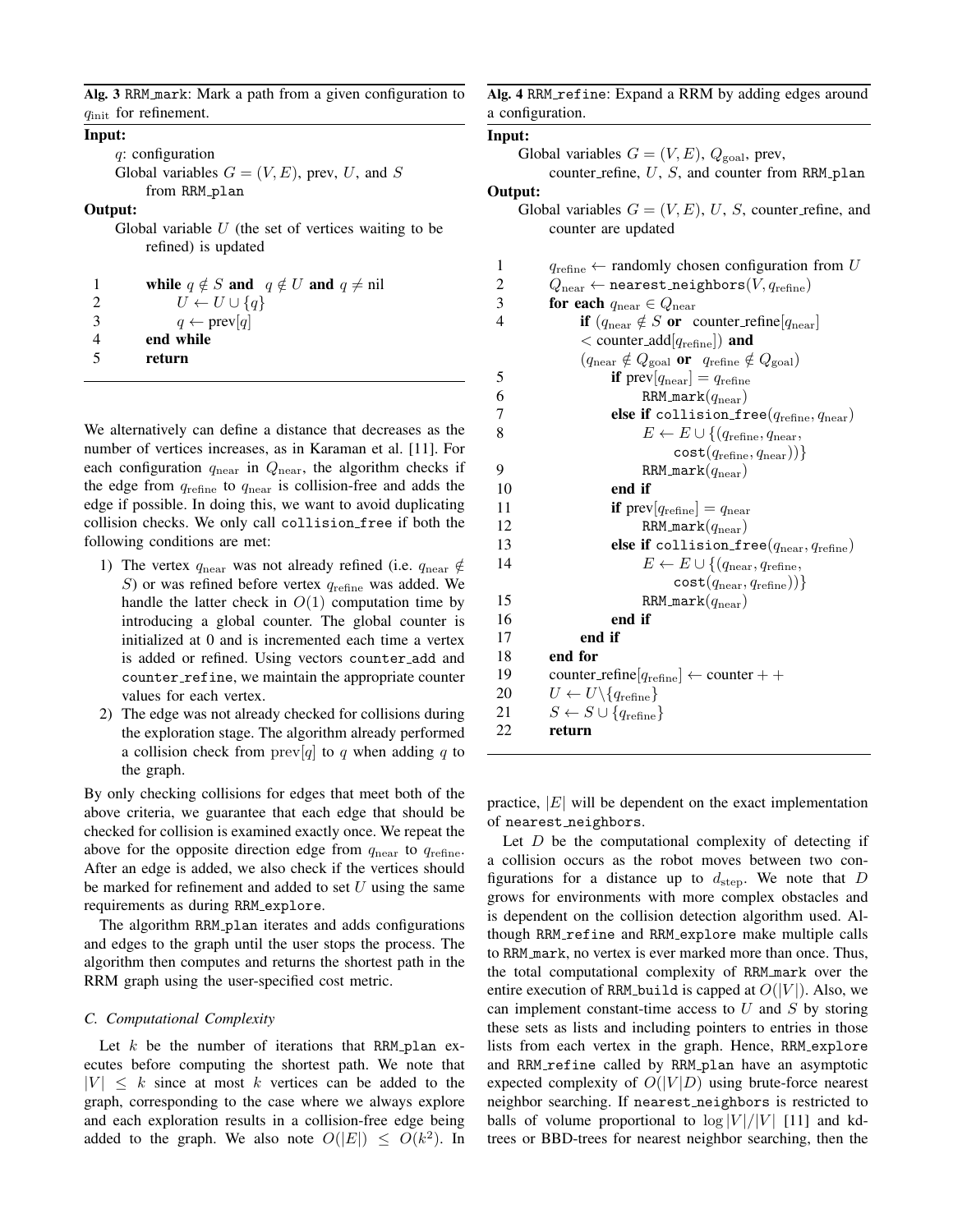Alg. 3 RRM mark: Mark a path from a given configuration to  $q_{\text{init}}$  for refinement.

#### Input:

q: configuration Global variables  $G = (V, E)$ , prev, U, and S from RRM\_plan

# Output:

Global variable  $U$  (the set of vertices waiting to be refined) is updated

|               | while $q \notin S$ and $q \notin U$ and $q \neq \text{nil}$ |
|---------------|-------------------------------------------------------------|
| $\mathcal{D}$ | $U \leftarrow U \cup \{q\}$                                 |
| 3             | $q \leftarrow \text{prev}[q]$                               |
| 4             | end while                                                   |
| -5            | return                                                      |
|               |                                                             |

We alternatively can define a distance that decreases as the number of vertices increases, as in Karaman et al. [11]. For each configuration  $q_{\text{near}}$  in  $Q_{\text{near}}$ , the algorithm checks if the edge from  $q_{refine}$  to  $q_{near}$  is collision-free and adds the edge if possible. In doing this, we want to avoid duplicating collision checks. We only call collision free if both the following conditions are met:

- 1) The vertex  $q_{\text{near}}$  was not already refined (i.e.  $q_{\text{near}} \notin$ S) or was refined before vertex  $q_{refine}$  was added. We handle the latter check in  $O(1)$  computation time by introducing a global counter. The global counter is initialized at 0 and is incremented each time a vertex is added or refined. Using vectors counter add and counter refine, we maintain the appropriate counter values for each vertex.
- 2) The edge was not already checked for collisions during the exploration stage. The algorithm already performed a collision check from  $prev[q]$  to q when adding q to the graph.

By only checking collisions for edges that meet both of the above criteria, we guarantee that each edge that should be checked for collision is examined exactly once. We repeat the above for the opposite direction edge from  $q_{\text{near}}$  to  $q_{\text{refine}}$ . After an edge is added, we also check if the vertices should be marked for refinement and added to set  $U$  using the same requirements as during RRM explore.

The algorithm RRM<sub>-plan</sub> iterates and adds configurations and edges to the graph until the user stops the process. The algorithm then computes and returns the shortest path in the RRM graph using the user-specified cost metric.

# *C. Computational Complexity*

Let  $k$  be the number of iterations that RRM plan executes before computing the shortest path. We note that  $|V| \leq k$  since at most k vertices can be added to the graph, corresponding to the case where we always explore and each exploration results in a collision-free edge being added to the graph. We also note  $O(|E|) \le O(k^2)$ . In

Alg. 4 RRM\_refine: Expand a RRM by adding edges around a configuration.

Input: Global variables  $G = (V, E), Q_{\text{goal}}$ , prev, counter refine,  $U$ ,  $S$ , and counter from RRM plan Output: Global variables  $G = (V, E), U, S$ , counter refine, and counter are updated 1  $q_{\text{refine}} \leftarrow$  randomly chosen configuration from U<br>2  $Q_{\text{near}} \leftarrow$  nearest neighbors(V,  $q_{\text{refine}}$ ) 2  $Q_{\text{near}} \leftarrow \text{nearest-neighbors}(V, q_{\text{refine}})$ <br>3 **for each**  $q_{\text{near}} \in Q_{\text{near}}$ for each  $q_{\text{near}} \in Q_{\text{near}}$ 4 **if**  $(q_{\text{near}} \notin S \text{ or } \text{counter\_refine}[q_{\text{near}}])$  $<$  counter\_add $[q_{\text{refine}}]$ ) and  $(q_{\text{near}} \notin Q_{\text{goal}} \text{ or } q_{\text{refine}} \notin Q_{\text{goal}})$ 5 if  $prev[q_{near}] = q_{refine}$ 6 RRM mark $(q_{\text{near}})$ 7 **else if** collision\_free( $q_{\text{refine}}, q_{\text{near}}$ ) 8  $E \leftarrow E \cup \{(q_{\text{refine}}, q_{\text{near}},$  $cost(q_{refine}, q_{near}))\}$ 9 RRM mark $(q_{\text{near}})$ 10 end if 11 if  $prev[q_{refine}] = q_{near}$ 12 RRM mark $(q_{\text{near}})$ 13 **else if** collision free $(q_{\text{near}}, q_{\text{refine}})$ 14  $E \leftarrow E \cup \{(q_{\text{near}}, q_{\text{refine}},$  $cost(q_{near}, q_{refine}))$ 15 RRM mark $(q_{\text{near}})$ 16 end if 17 end if 18 end for 19 counter\_refine[ $q_{\text{refine}}$ ]  $\leftarrow$  counter + + 20  $U \leftarrow U \setminus \{q_{\text{refine}}\}$ 21  $S \leftarrow S \cup \{q_{\text{refine}}\}$ 22 return

practice,  $|E|$  will be dependent on the exact implementation of nearest neighbors.

Let  $D$  be the computational complexity of detecting if a collision occurs as the robot moves between two configurations for a distance up to  $d_{\text{step}}$ . We note that D grows for environments with more complex obstacles and is dependent on the collision detection algorithm used. Although RRM refine and RRM explore make multiple calls to RRM mark, no vertex is ever marked more than once. Thus, the total computational complexity of RRM mark over the entire execution of RRM build is capped at  $O(|V|)$ . Also, we can implement constant-time access to  $U$  and  $S$  by storing these sets as lists and including pointers to entries in those lists from each vertex in the graph. Hence, RRM explore and RRM refine called by RRM plan have an asymptotic expected complexity of  $O(|V|D)$  using brute-force nearest neighbor searching. If nearest neighbors is restricted to balls of volume proportional to  $\log |V|/|V|$  [11] and kdtrees or BBD-trees for nearest neighbor searching, then the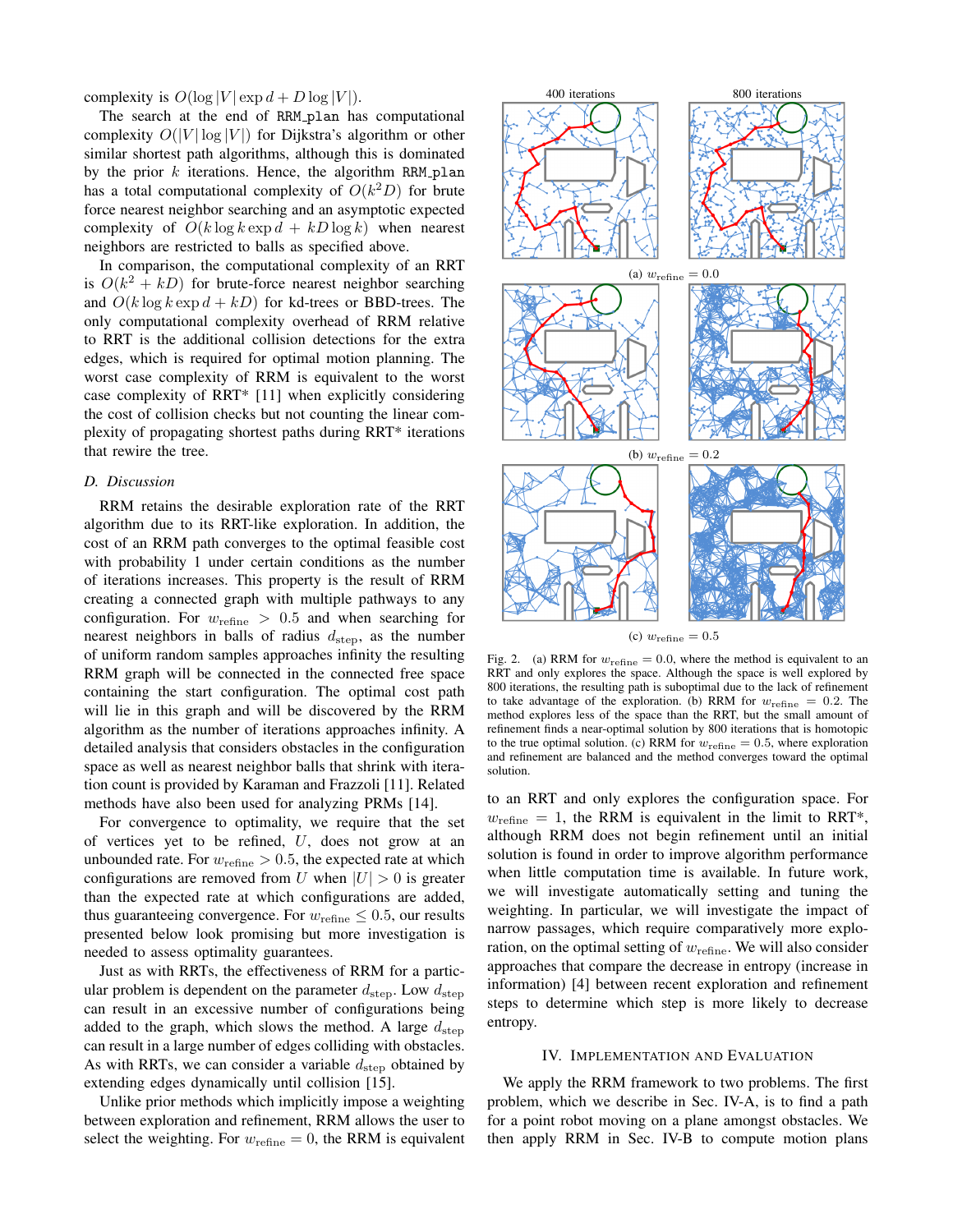complexity is  $O(\log |V| \exp d + D \log |V|)$ .

The search at the end of RRM<sub>-plan</sub> has computational complexity  $O(|V| \log |V|)$  for Dijkstra's algorithm or other similar shortest path algorithms, although this is dominated by the prior  $k$  iterations. Hence, the algorithm RRM plan has a total computational complexity of  $O(k^2D)$  for brute force nearest neighbor searching and an asymptotic expected complexity of  $O(k \log k \exp d + kD \log k)$  when nearest neighbors are restricted to balls as specified above.

In comparison, the computational complexity of an RRT is  $O(k^2 + kD)$  for brute-force nearest neighbor searching and  $O(k \log k \exp d + kD)$  for kd-trees or BBD-trees. The only computational complexity overhead of RRM relative to RRT is the additional collision detections for the extra edges, which is required for optimal motion planning. The worst case complexity of RRM is equivalent to the worst case complexity of RRT\* [11] when explicitly considering the cost of collision checks but not counting the linear complexity of propagating shortest paths during RRT\* iterations that rewire the tree.

# *D. Discussion*

RRM retains the desirable exploration rate of the RRT algorithm due to its RRT-like exploration. In addition, the cost of an RRM path converges to the optimal feasible cost with probability 1 under certain conditions as the number of iterations increases. This property is the result of RRM creating a connected graph with multiple pathways to any configuration. For  $w_{\text{refine}} > 0.5$  and when searching for nearest neighbors in balls of radius  $d_{step}$ , as the number of uniform random samples approaches infinity the resulting RRM graph will be connected in the connected free space containing the start configuration. The optimal cost path will lie in this graph and will be discovered by the RRM algorithm as the number of iterations approaches infinity. A detailed analysis that considers obstacles in the configuration space as well as nearest neighbor balls that shrink with iteration count is provided by Karaman and Frazzoli [11]. Related methods have also been used for analyzing PRMs [14].

For convergence to optimality, we require that the set of vertices yet to be refined, U, does not grow at an unbounded rate. For  $w_{\text{refine}} > 0.5$ , the expected rate at which configurations are removed from U when  $|U| > 0$  is greater than the expected rate at which configurations are added, thus guaranteeing convergence. For  $w_{\text{refine}} \leq 0.5$ , our results presented below look promising but more investigation is needed to assess optimality guarantees.

Just as with RRTs, the effectiveness of RRM for a particular problem is dependent on the parameter  $d_{\text{step}}$ . Low  $d_{\text{step}}$ can result in an excessive number of configurations being added to the graph, which slows the method. A large  $d_{\text{step}}$ can result in a large number of edges colliding with obstacles. As with RRTs, we can consider a variable  $d_{\text{step}}$  obtained by extending edges dynamically until collision [15].

Unlike prior methods which implicitly impose a weighting between exploration and refinement, RRM allows the user to select the weighting. For  $w_{\text{refine}} = 0$ , the RRM is equivalent



(c)  $w_{\text{refine}} = 0.5$ 

Fig. 2. (a) RRM for  $w_{\text{refine}} = 0.0$ , where the method is equivalent to an RRT and only explores the space. Although the space is well explored by 800 iterations, the resulting path is suboptimal due to the lack of refinement to take advantage of the exploration. (b) RRM for  $w_{\text{refine}} = 0.2$ . The method explores less of the space than the RRT, but the small amount of refinement finds a near-optimal solution by 800 iterations that is homotopic to the true optimal solution. (c) RRM for  $w_{\text{refine}} = 0.5$ , where exploration and refinement are balanced and the method converges toward the optimal solution.

to an RRT and only explores the configuration space. For  $w_{\text{refine}} = 1$ , the RRM is equivalent in the limit to RRT\*, although RRM does not begin refinement until an initial solution is found in order to improve algorithm performance when little computation time is available. In future work, we will investigate automatically setting and tuning the weighting. In particular, we will investigate the impact of narrow passages, which require comparatively more exploration, on the optimal setting of  $w_{\text{refine}}$ . We will also consider approaches that compare the decrease in entropy (increase in information) [4] between recent exploration and refinement steps to determine which step is more likely to decrease entropy.

#### IV. IMPLEMENTATION AND EVALUATION

We apply the RRM framework to two problems. The first problem, which we describe in Sec. IV-A, is to find a path for a point robot moving on a plane amongst obstacles. We then apply RRM in Sec. IV-B to compute motion plans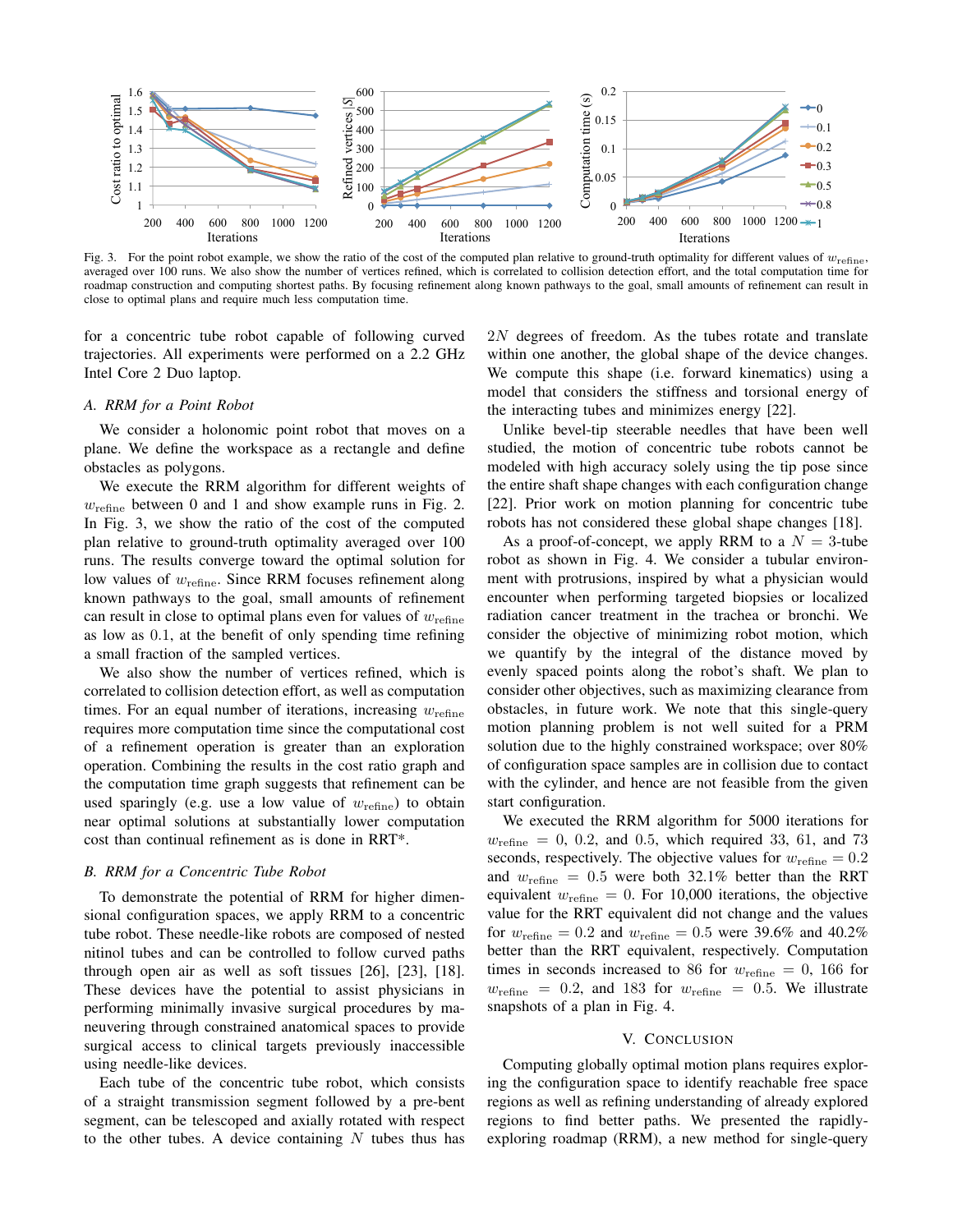

Fig. 3. For the point robot example, we show the ratio of the cost of the computed plan relative to ground-truth optimality for different values of  $w_{\text{refine}}$ , averaged over 100 runs. We also show the number of vertices refined, which is correlated to collision detection effort, and the total computation time for roadmap construction and computing shortest paths. By focusing refinement along known pathways to the goal, small amounts of refinement can result in close to optimal plans and require much less computation time.

for a concentric tube robot capable of following curved trajectories. All experiments were performed on a 2.2 GHz Intel Core 2 Duo laptop.

#### *A. RRM for a Point Robot*

We consider a holonomic point robot that moves on a plane. We define the workspace as a rectangle and define obstacles as polygons.

We execute the RRM algorithm for different weights of  $w_{\text{refine}}$  between 0 and 1 and show example runs in Fig. 2. In Fig. 3, we show the ratio of the cost of the computed plan relative to ground-truth optimality averaged over 100 runs. The results converge toward the optimal solution for low values of  $w_{\text{refine}}$ . Since RRM focuses refinement along known pathways to the goal, small amounts of refinement can result in close to optimal plans even for values of  $w_{\text{refine}}$ as low as 0.1, at the benefit of only spending time refining a small fraction of the sampled vertices.

We also show the number of vertices refined, which is correlated to collision detection effort, as well as computation times. For an equal number of iterations, increasing  $w_{\text{refine}}$ requires more computation time since the computational cost of a refinement operation is greater than an exploration operation. Combining the results in the cost ratio graph and the computation time graph suggests that refinement can be used sparingly (e.g. use a low value of  $w_{\text{refine}}$ ) to obtain near optimal solutions at substantially lower computation cost than continual refinement as is done in RRT\*.

# *B. RRM for a Concentric Tube Robot*

To demonstrate the potential of RRM for higher dimensional configuration spaces, we apply RRM to a concentric tube robot. These needle-like robots are composed of nested nitinol tubes and can be controlled to follow curved paths through open air as well as soft tissues [26], [23], [18]. These devices have the potential to assist physicians in performing minimally invasive surgical procedures by maneuvering through constrained anatomical spaces to provide surgical access to clinical targets previously inaccessible using needle-like devices.

Each tube of the concentric tube robot, which consists of a straight transmission segment followed by a pre-bent segment, can be telescoped and axially rotated with respect to the other tubes. A device containing  $N$  tubes thus has 2N degrees of freedom. As the tubes rotate and translate within one another, the global shape of the device changes. We compute this shape (i.e. forward kinematics) using a model that considers the stiffness and torsional energy of the interacting tubes and minimizes energy [22].

Unlike bevel-tip steerable needles that have been well studied, the motion of concentric tube robots cannot be modeled with high accuracy solely using the tip pose since the entire shaft shape changes with each configuration change [22]. Prior work on motion planning for concentric tube robots has not considered these global shape changes [18].

As a proof-of-concept, we apply RRM to a  $N = 3$ -tube robot as shown in Fig. 4. We consider a tubular environment with protrusions, inspired by what a physician would encounter when performing targeted biopsies or localized radiation cancer treatment in the trachea or bronchi. We consider the objective of minimizing robot motion, which we quantify by the integral of the distance moved by evenly spaced points along the robot's shaft. We plan to consider other objectives, such as maximizing clearance from obstacles, in future work. We note that this single-query motion planning problem is not well suited for a PRM solution due to the highly constrained workspace; over 80% of configuration space samples are in collision due to contact with the cylinder, and hence are not feasible from the given start configuration.

We executed the RRM algorithm for 5000 iterations for  $w_{\text{refine}} = 0$ , 0.2, and 0.5, which required 33, 61, and 73 seconds, respectively. The objective values for  $w_{\text{refine}} = 0.2$ and  $w_{\text{refine}} = 0.5$  were both 32.1% better than the RRT equivalent  $w_{\text{refine}} = 0$ . For 10,000 iterations, the objective value for the RRT equivalent did not change and the values for  $w_{\text{refine}} = 0.2$  and  $w_{\text{refine}} = 0.5$  were 39.6% and 40.2% better than the RRT equivalent, respectively. Computation times in seconds increased to 86 for  $w_{\text{refine}} = 0$ , 166 for  $w_{\text{refine}} = 0.2$ , and 183 for  $w_{\text{refine}} = 0.5$ . We illustrate snapshots of a plan in Fig. 4.

#### V. CONCLUSION

Computing globally optimal motion plans requires exploring the configuration space to identify reachable free space regions as well as refining understanding of already explored regions to find better paths. We presented the rapidlyexploring roadmap (RRM), a new method for single-query